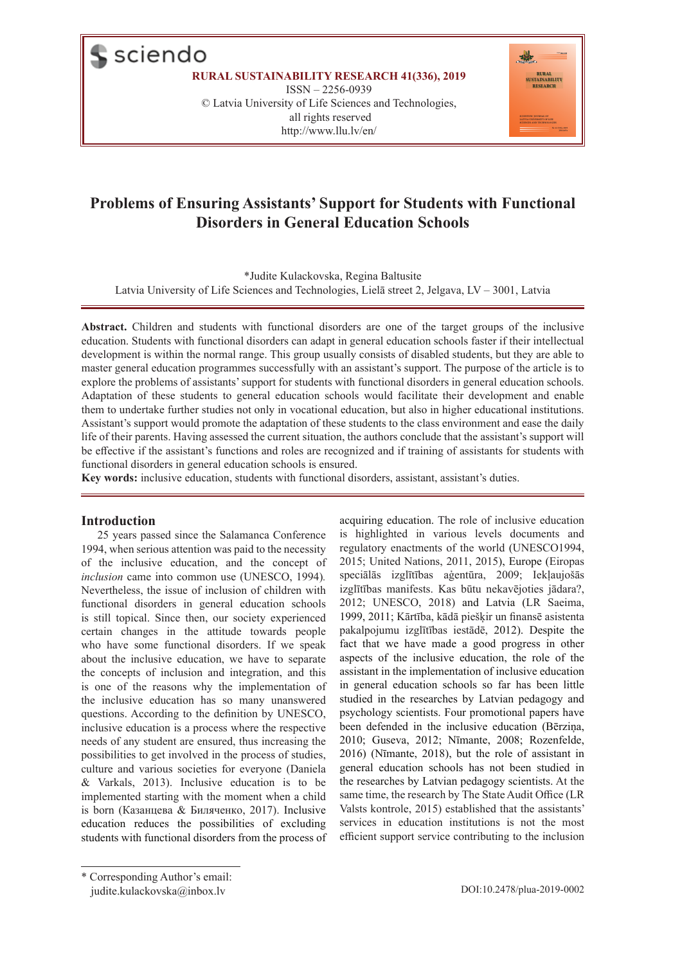$\blacksquare$  sciendo

**RURAL SUSTAINABILITY RESEARCH 41(336), 2019**

ISSN – 2256-0939 © Latvia University of Life Sciences and Technologies, all rights reserved http://www.llu.lv/en/



# **Problems of Ensuring Assistants' Support for Students with Functional Disorders in General Education Schools**

\*Judite Kulackovska, Regina Baltusite

Latvia University of Life Sciences and Technologies, Lielā street 2, Jelgava, LV – 3001, Latvia

**Abstract.** Children and students with functional disorders are one of the target groups of the inclusive education. Students with functional disorders can adapt in general education schools faster if their intellectual development is within the normal range. This group usually consists of disabled students, but they are able to master general education programmes successfully with an assistant's support. The purpose of the article is to explore the problems of assistants' support for students with functional disorders in general education schools. Adaptation of these students to general education schools would facilitate their development and enable them to undertake further studies not only in vocational education, but also in higher educational institutions. Assistant's support would promote the adaptation of these students to the class environment and ease the daily life of their parents. Having assessed the current situation, the authors conclude that the assistant's support will be effective if the assistant's functions and roles are recognized and if training of assistants for students with functional disorders in general education schools is ensured.

**Key words:** inclusive education, students with functional disorders, assistant, assistant's duties.

#### **Introduction**

25 years passed since the Salamanca Conference 1994, when serious attention was paid to the necessity of the inclusive education, and the concept of *inclusion* came into common use (UNESCO, 1994)*.* Nevertheless, the issue of inclusion of children with functional disorders in general education schools is still topical. Since then, our society experienced certain changes in the attitude towards people who have some functional disorders. If we speak about the inclusive education, we have to separate the concepts of inclusion and integration, and this is one of the reasons why the implementation of the inclusive education has so many unanswered questions. According to the definition by UNESCO, inclusive education is a process where the respective needs of any student are ensured, thus increasing the possibilities to get involved in the process of studies, culture and various societies for everyone (Daniela & Varkals, 2013). Inclusive education is to be implemented starting with the moment when a child is born (Казанцева & Биляченко, 2017). Inclusive education reduces the possibilities of excluding students with functional disorders from the process of acquiring education. The role of inclusive education is highlighted in various levels documents and regulatory enactments of the world (UNESCO1994, 2015; United Nations, 2011, 2015), Europe (Eiropas speciālās izglītības aģentūra, 2009; Iekļaujošās izglītības manifests. Kas būtu nekavējoties jādara?, 2012; UNESCO, 2018) and Latvia (LR Saeima, 1999, 2011; Kārtība, kādā piešķir un finansē asistenta pakalpojumu izglītības iestādē, 2012). Despite the fact that we have made a good progress in other aspects of the inclusive education, the role of the assistant in the implementation of inclusive education in general education schools so far has been little studied in the researches by Latvian pedagogy and psychology scientists. Four promotional papers have been defended in the inclusive education (Bērziņa, 2010; Guseva, 2012; Nīmante, 2008; Rozenfelde, 2016) (Nīmante, 2018), but the role of assistant in general education schools has not been studied in the researches by Latvian pedagogy scientists. At the same time, the research by The State Audit Office (LR Valsts kontrole, 2015) established that the assistants' services in education institutions is not the most efficient support service contributing to the inclusion

<sup>\*</sup> Corresponding Author's email: judite.kulackovska@inbox.lv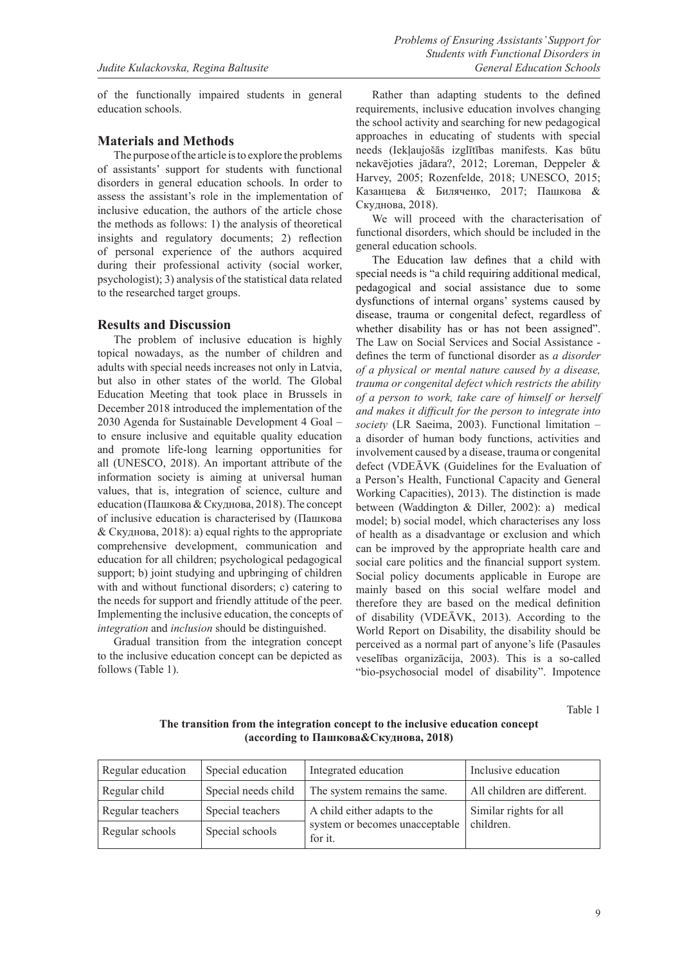of the functionally impaired students in general education schools.

#### **Materials and Methods**

The purpose of the article is to explore the problems of assistants' support for students with functional disorders in general education schools. In order to assess the assistant's role in the implementation of inclusive education, the authors of the article chose the methods as follows: 1) the analysis of theoretical insights and regulatory documents; 2) reflection of personal experience of the authors acquired during their professional activity (social worker, psychologist); 3) analysis of the statistical data related to the researched target groups.

#### **Results and Discussion**

The problem of inclusive education is highly topical nowadays, as the number of children and adults with special needs increases not only in Latvia, but also in other states of the world. The Global Education Meeting that took place in Brussels in December 2018 introduced the implementation of the 2030 Agenda for Sustainable Development 4 Goal – to ensure inclusive and equitable quality education and promote life-long learning opportunities for all (UNESCO, 2018). An important attribute of the information society is aiming at universal human values, that is, integration of science, culture and education (Пашкова & Скуднова, 2018). The concept of inclusive education is characterised by (Пашкова & Скуднова, 2018): a) equal rights to the appropriate comprehensive development, communication and education for all children; psychological pedagogical support; b) joint studying and upbringing of children with and without functional disorders; c) catering to the needs for support and friendly attitude of the peer. Implementing the inclusive education, the concepts of *integration* and *inclusion* should be distinguished.

Gradual transition from the integration concept to the inclusive education concept can be depicted as follows (Table 1).

Rather than adapting students to the defined requirements, inclusive education involves changing the school activity and searching for new pedagogical approaches in educating of students with special needs (Iekļaujošās izglītības manifests. Kas būtu nekavējoties jādara?, 2012; Loreman, Deppeler & Harvey, 2005; Rozenfelde, 2018; UNESCO, 2015; Казанцева & Биляченко, 2017; Пашкова & Скуднова, 2018).

We will proceed with the characterisation of functional disorders, which should be included in the general education schools.

The Education law defines that a child with special needs is "a child requiring additional medical, pedagogical and social assistance due to some dysfunctions of internal organs' systems caused by disease, trauma or congenital defect, regardless of whether disability has or has not been assigned". The Law on Social Services and Social Assistance defines the term of functional disorder as *a disorder of a physical or mental nature caused by a disease, trauma or congenital defect which restricts the ability of a person to work, take care of himself or herself and makes it difficult for the person to integrate into society* (LR Saeima, 2003). Functional limitation – a disorder of human body functions, activities and involvement caused by a disease, trauma or congenital defect (VDEĀVK (Guidelines for the Evaluation of a Person's Health, Functional Capacity and General Working Capacities), 2013). The distinction is made between (Waddington & Diller, 2002): a) medical model; b) social model, which characterises any loss of health as a disadvantage or exclusion and which can be improved by the appropriate health care and social care politics and the financial support system. Social policy documents applicable in Europe are mainly based on this social welfare model and therefore they are based on the medical definition of disability (VDEĀVK, 2013). According to the World Report on Disability, the disability should be perceived as a normal part of anyone's life (Pasaules veselības organizācija, 2003). This is a so-called "bio-psychosocial model of disability". Impotence

Table 1

#### **The transition from the integration concept to the inclusive education concept (according to Пашкова&Скуднова, 2018)**

| Regular education | Special education   | Integrated education                      | Inclusive education         |
|-------------------|---------------------|-------------------------------------------|-----------------------------|
| Regular child     | Special needs child | The system remains the same.              | All children are different. |
| Regular teachers  | Special teachers    | A child either adapts to the              | Similar rights for all      |
| Regular schools   | Special schools     | system or becomes unacceptable<br>for it. | children.                   |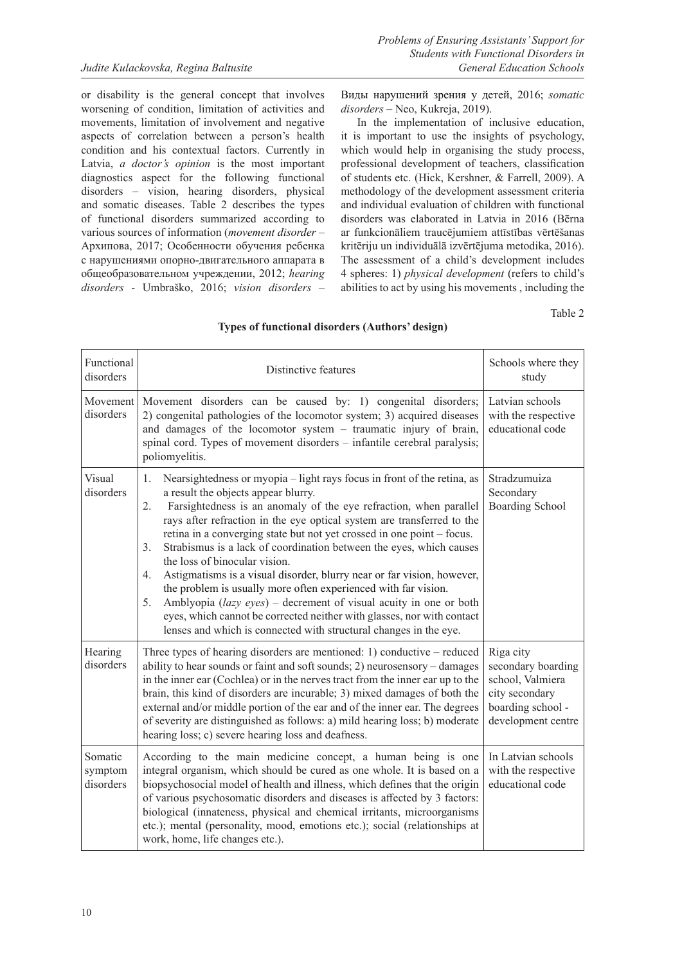or disability is the general concept that involves worsening of condition, limitation of activities and movements, limitation of involvement and negative aspects of correlation between a person's health condition and his contextual factors. Currently in Latvia, *a doctor's opinion* is the most important diagnostics aspect for the following functional disorders – vision, hearing disorders, physical and somatic diseases. Table 2 describes the types of functional disorders summarized according to various sources of information (*movement disorder* – Архипова, 2017; Особенности обучения ребенка с нарушениями опорно-двигательного аппарата в oбщеобразовательном учреждении, 2012; *hearing disorders* - Umbraško, 2016; *vision disorders* –

Виды нарушений зрения у детей, 2016; *somatic disorders* – Neo, Kukreja, 2019).

In the implementation of inclusive education, it is important to use the insights of psychology, which would help in organising the study process, professional development of teachers, classification of students etc. (Hick, Kershner, & Farrell, 2009). A methodology of the development assessment criteria and individual evaluation of children with functional disorders was elaborated in Latvia in 2016 (Bērna ar funkcionāliem traucējumiem attīstības vērtēšanas kritēriju un individuālā izvērtējuma metodika, 2016). The assessment of a child's development includes 4 spheres: 1) *physical development* (refers to child's abilities to act by using his movements , including the

Table 2

| Functional<br>disorders         | Distinctive features                                                                                                                                                                                                                                                                                                                                                                                                                                                                                                                                                                                                                                                                                                                                                                                                                          | Schools where they<br>study                                                                                      |
|---------------------------------|-----------------------------------------------------------------------------------------------------------------------------------------------------------------------------------------------------------------------------------------------------------------------------------------------------------------------------------------------------------------------------------------------------------------------------------------------------------------------------------------------------------------------------------------------------------------------------------------------------------------------------------------------------------------------------------------------------------------------------------------------------------------------------------------------------------------------------------------------|------------------------------------------------------------------------------------------------------------------|
| Movement<br>disorders           | Movement disorders can be caused by: 1) congenital disorders;<br>2) congenital pathologies of the locomotor system; 3) acquired diseases<br>and damages of the locomotor system - traumatic injury of brain,<br>spinal cord. Types of movement disorders - infantile cerebral paralysis;<br>poliomyelitis.                                                                                                                                                                                                                                                                                                                                                                                                                                                                                                                                    | Latvian schools<br>with the respective<br>educational code                                                       |
| Visual<br>disorders             | Nearsightedness or myopia - light rays focus in front of the retina, as<br>1.<br>a result the objects appear blurry.<br>Farsightedness is an anomaly of the eye refraction, when parallel<br>2.<br>rays after refraction in the eye optical system are transferred to the<br>retina in a converging state but not yet crossed in one point - focus.<br>Strabismus is a lack of coordination between the eyes, which causes<br>3.<br>the loss of binocular vision.<br>Astigmatisms is a visual disorder, blurry near or far vision, however,<br>4.<br>the problem is usually more often experienced with far vision.<br>Amblyopia (lazy eyes) - decrement of visual acuity in one or both<br>5.<br>eyes, which cannot be corrected neither with glasses, nor with contact<br>lenses and which is connected with structural changes in the eye. | Stradzumuiza<br>Secondary<br><b>Boarding School</b>                                                              |
| Hearing<br>disorders            | Three types of hearing disorders are mentioned: 1) conductive $-$ reduced<br>ability to hear sounds or faint and soft sounds; 2) neurosensory - damages<br>in the inner ear (Cochlea) or in the nerves tract from the inner ear up to the<br>brain, this kind of disorders are incurable; 3) mixed damages of both the<br>external and/or middle portion of the ear and of the inner ear. The degrees<br>of severity are distinguished as follows: a) mild hearing loss; b) moderate<br>hearing loss; c) severe hearing loss and deafness.                                                                                                                                                                                                                                                                                                    | Riga city<br>secondary boarding<br>school, Valmiera<br>city secondary<br>boarding school -<br>development centre |
| Somatic<br>symptom<br>disorders | According to the main medicine concept, a human being is one<br>integral organism, which should be cured as one whole. It is based on a<br>biopsychosocial model of health and illness, which defines that the origin<br>of various psychosomatic disorders and diseases is affected by 3 factors:<br>biological (innateness, physical and chemical irritants, microorganisms<br>etc.); mental (personality, mood, emotions etc.); social (relationships at<br>work, home, life changes etc.).                                                                                                                                                                                                                                                                                                                                                | In Latvian schools<br>with the respective<br>educational code                                                    |

#### **Types of functional disorders (Authors' design)**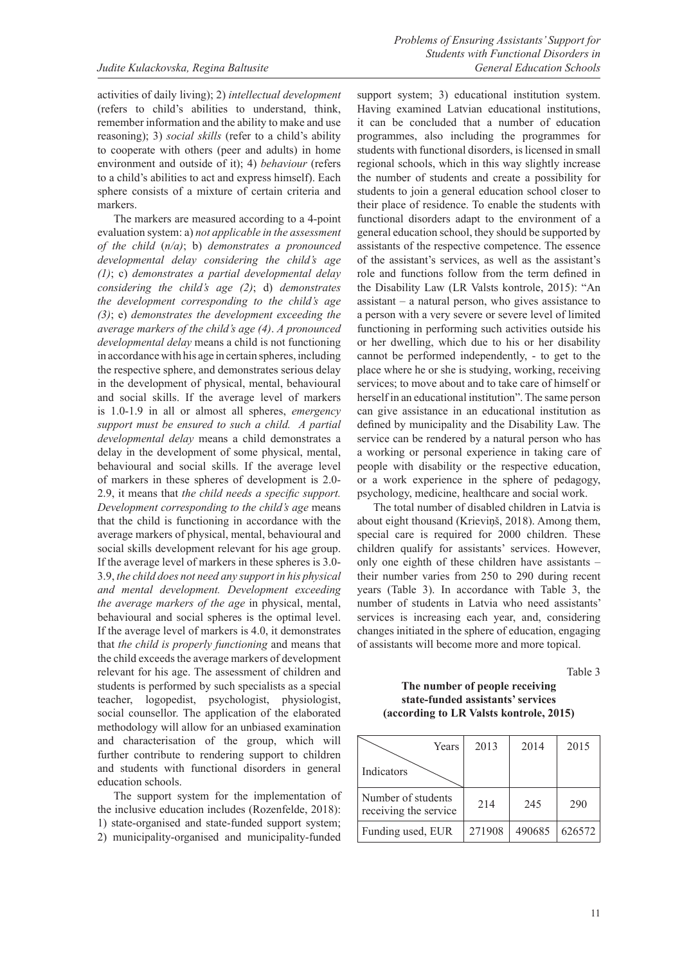activities of daily living); 2) *intellectual development* (refers to child's abilities to understand, think, remember information and the ability to make and use reasoning); 3) *social skills* (refer to a child's ability to cooperate with others (peer and adults) in home environment and outside of it); 4) *behaviour* (refers to a child's abilities to act and express himself). Each sphere consists of a mixture of certain criteria and markers.

The markers are measured according to a 4-point evaluation system: a) *not applicable in the assessment of the child* (*n/a)*; b) *demonstrates a pronounced developmental delay considering the child's age (1)*; c) *demonstrates a partial developmental delay considering the child's age (2)*; d) *demonstrates the development corresponding to the child's age (3)*; e) *demonstrates the development exceeding the average markers of the child's age (4)*. *A pronounced developmental delay* means a child is not functioning in accordance with his age in certain spheres, including the respective sphere, and demonstrates serious delay in the development of physical, mental, behavioural and social skills. If the average level of markers is 1.0-1.9 in all or almost all spheres, *emergency support must be ensured to such a child. A partial developmental delay* means a child demonstrates a delay in the development of some physical, mental, behavioural and social skills. If the average level of markers in these spheres of development is 2.0- 2.9, it means that *the child needs a specific support. Development corresponding to the child's age* means that the child is functioning in accordance with the average markers of physical, mental, behavioural and social skills development relevant for his age group. If the average level of markers in these spheres is 3.0- 3.9, *the child does not need any support in his physical and mental development. Development exceeding the average markers of the age* in physical, mental, behavioural and social spheres is the optimal level. If the average level of markers is 4.0, it demonstrates that *the child is properly functioning* and means that the child exceeds the average markers of development relevant for his age. The assessment of children and students is performed by such specialists as a special teacher, logopedist, psychologist, physiologist, social counsellor. The application of the elaborated methodology will allow for an unbiased examination and characterisation of the group, which will further contribute to rendering support to children and students with functional disorders in general education schools.

The support system for the implementation of the inclusive education includes (Rozenfelde, 2018): 1) state-organised and state-funded support system; 2) municipality-organised and municipality-funded

support system; 3) educational institution system. Having examined Latvian educational institutions, it can be concluded that a number of education programmes, also including the programmes for students with functional disorders, is licensed in small regional schools, which in this way slightly increase the number of students and create a possibility for students to join a general education school closer to their place of residence. To enable the students with functional disorders adapt to the environment of a general education school, they should be supported by assistants of the respective competence. The essence of the assistant's services, as well as the assistant's role and functions follow from the term defined in the Disability Law (LR Valsts kontrole, 2015): "An assistant – a natural person, who gives assistance to a person with a very severe or severe level of limited functioning in performing such activities outside his or her dwelling, which due to his or her disability cannot be performed independently, - to get to the place where he or she is studying, working, receiving services; to move about and to take care of himself or herself in an educational institution". The same person can give assistance in an educational institution as defined by municipality and the Disability Law. The service can be rendered by a natural person who has a working or personal experience in taking care of people with disability or the respective education, or a work experience in the sphere of pedagogy, psychology, medicine, healthcare and social work.

The total number of disabled children in Latvia is about eight thousand (Krieviņš, 2018). Among them, special care is required for 2000 children. These children qualify for assistants' services. However, only one eighth of these children have assistants – their number varies from 250 to 290 during recent years (Table 3). In accordance with Table 3, the number of students in Latvia who need assistants' services is increasing each year, and, considering changes initiated in the sphere of education, engaging of assistants will become more and more topical.

Table 3

### **The number of people receiving state-funded assistants' services (according to LR Valsts kontrole, 2015)**

| Years                                       | 2013   | 2014   | 2015   |
|---------------------------------------------|--------|--------|--------|
| Indicators                                  |        |        |        |
| Number of students<br>receiving the service | 214    | 245    | 290    |
| Funding used, EUR                           | 271908 | 490685 | 626572 |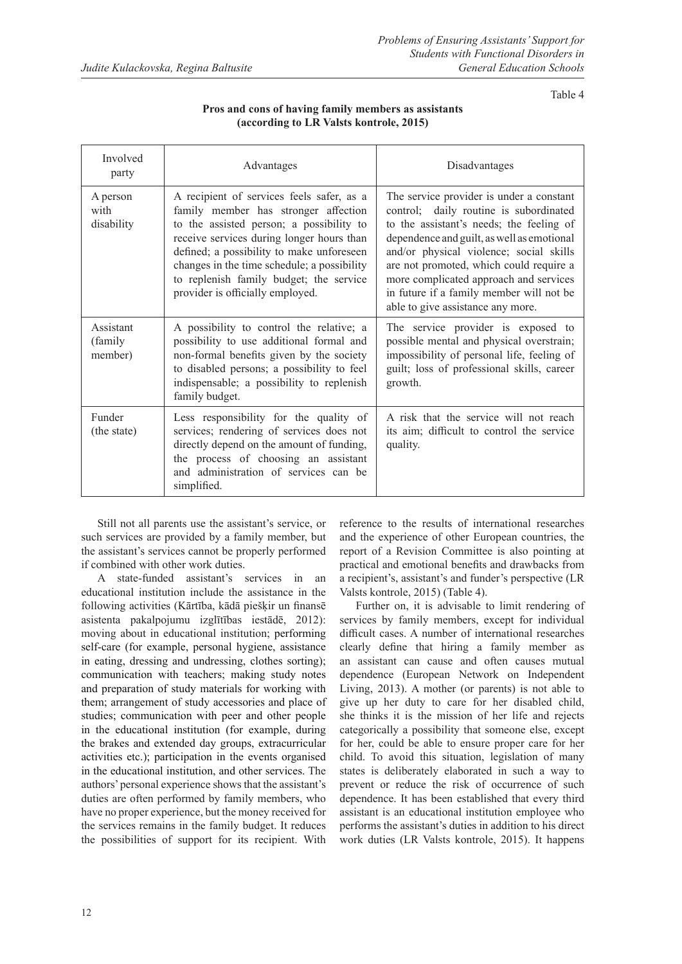Table 4

| Involved<br>party                | Advantages                                                                                                                                                                                                                                                                                                                                            | Disadvantages                                                                                                                                                                                                                                                                                                                                                                                 |  |  |  |
|----------------------------------|-------------------------------------------------------------------------------------------------------------------------------------------------------------------------------------------------------------------------------------------------------------------------------------------------------------------------------------------------------|-----------------------------------------------------------------------------------------------------------------------------------------------------------------------------------------------------------------------------------------------------------------------------------------------------------------------------------------------------------------------------------------------|--|--|--|
| A person<br>with<br>disability   | A recipient of services feels safer, as a<br>family member has stronger affection<br>to the assisted person; a possibility to<br>receive services during longer hours than<br>defined; a possibility to make unforeseen<br>changes in the time schedule; a possibility<br>to replenish family budget; the service<br>provider is officially employed. | The service provider is under a constant<br>control; daily routine is subordinated<br>to the assistant's needs; the feeling of<br>dependence and guilt, as well as emotional<br>and/or physical violence; social skills<br>are not promoted, which could require a<br>more complicated approach and services<br>in future if a family member will not be<br>able to give assistance any more. |  |  |  |
| Assistant<br>(family)<br>member) | A possibility to control the relative; a<br>possibility to use additional formal and<br>non-formal benefits given by the society<br>to disabled persons; a possibility to feel<br>indispensable; a possibility to replenish<br>family budget.                                                                                                         | The service provider is exposed to<br>possible mental and physical overstrain;<br>impossibility of personal life, feeling of<br>guilt; loss of professional skills, career<br>growth.                                                                                                                                                                                                         |  |  |  |
| Funder<br>(the state)            | Less responsibility for the quality of<br>services; rendering of services does not<br>directly depend on the amount of funding,<br>the process of choosing an assistant<br>and administration of services can be<br>simplified.                                                                                                                       | A risk that the service will not reach<br>its aim; difficult to control the service<br>quality.                                                                                                                                                                                                                                                                                               |  |  |  |

# **Pros and cons of having family members as assistants (according to LR Valsts kontrole, 2015)**

Still not all parents use the assistant's service, or such services are provided by a family member, but the assistant's services cannot be properly performed if combined with other work duties.

A state-funded assistant's services in an educational institution include the assistance in the following activities (Kārtība, kādā piešķir un finansē asistenta pakalpojumu izglītības iestādē, 2012): moving about in educational institution; performing self-care (for example, personal hygiene, assistance in eating, dressing and undressing, clothes sorting); communication with teachers; making study notes and preparation of study materials for working with them; arrangement of study accessories and place of studies; communication with peer and other people in the educational institution (for example, during the brakes and extended day groups, extracurricular activities etc.); participation in the events organised in the educational institution, and other services. The authors' personal experience shows that the assistant's duties are often performed by family members, who have no proper experience, but the money received for the services remains in the family budget. It reduces the possibilities of support for its recipient. With

reference to the results of international researches and the experience of other European countries, the report of a Revision Committee is also pointing at practical and emotional benefits and drawbacks from a recipient's, assistant's and funder's perspective (LR Valsts kontrole, 2015) (Table 4).

Further on, it is advisable to limit rendering of services by family members, except for individual difficult cases. A number of international researches clearly define that hiring a family member as an assistant can cause and often causes mutual dependence (European Network on Independent Living, 2013). A mother (or parents) is not able to give up her duty to care for her disabled child, she thinks it is the mission of her life and rejects categorically a possibility that someone else, except for her, could be able to ensure proper care for her child. To avoid this situation, legislation of many states is deliberately elaborated in such a way to prevent or reduce the risk of occurrence of such dependence. It has been established that every third assistant is an educational institution employee who performs the assistant's duties in addition to his direct work duties (LR Valsts kontrole, 2015). It happens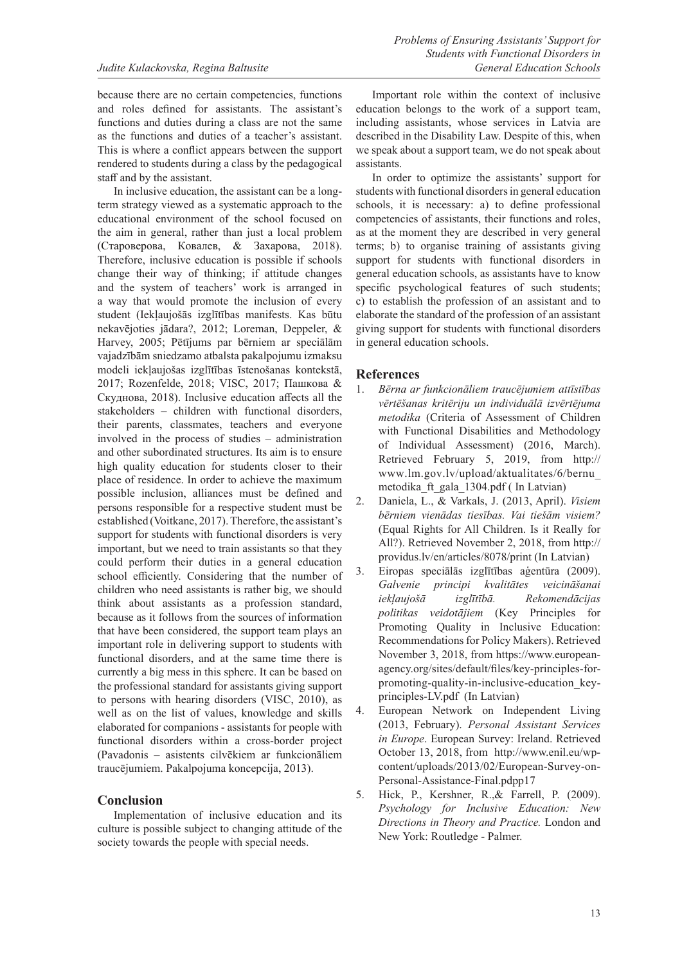because there are no certain competencies, functions and roles defined for assistants. The assistant's functions and duties during a class are not the same as the functions and duties of a teacher's assistant. This is where a conflict appears between the support rendered to students during a class by the pedagogical staff and by the assistant.

In inclusive education, the assistant can be a longterm strategy viewed as a systematic approach to the educational environment of the school focused on the aim in general, rather than just a local problem (Староверова, Ковалев, & Захарова, 2018). Therefore, inclusive education is possible if schools change their way of thinking; if attitude changes and the system of teachers' work is arranged in a way that would promote the inclusion of every student (Iekļaujošās izglītības manifests. Kas būtu nekavējoties jādara?, 2012; Loreman, Deppeler, & Harvey, 2005; Pētījums par bērniem ar speciālām vajadzībām sniedzamo atbalsta pakalpojumu izmaksu modeli iekļaujošas izglītības īstenošanas kontekstā, 2017; Rozenfelde, 2018; VISC, 2017; Пашкова & Скуднова, 2018). Inclusive education affects all the stakeholders – children with functional disorders, their parents, classmates, teachers and everyone involved in the process of studies – administration and other subordinated structures. Its aim is to ensure high quality education for students closer to their place of residence. In order to achieve the maximum possible inclusion, alliances must be defined and persons responsible for a respective student must be established (Voitkane, 2017). Therefore, the assistant's support for students with functional disorders is very important, but we need to train assistants so that they could perform their duties in a general education school efficiently. Considering that the number of children who need assistants is rather big, we should think about assistants as a profession standard, because as it follows from the sources of information that have been considered, the support team plays an important role in delivering support to students with functional disorders, and at the same time there is currently a big mess in this sphere. It can be based on the professional standard for assistants giving support to persons with hearing disorders (VISC, 2010), as well as on the list of values, knowledge and skills elaborated for companions - assistants for people with functional disorders within a cross-border project (Pavadonis – asistents cilvēkiem ar funkcionāliem traucējumiem. Pakalpojuma koncepcija, 2013).

# **Conclusion**

Implementation of inclusive education and its culture is possible subject to changing attitude of the society towards the people with special needs.

Important role within the context of inclusive education belongs to the work of a support team, including assistants, whose services in Latvia are described in the Disability Law. Despite of this, when we speak about a support team, we do not speak about assistants.

In order to optimize the assistants' support for students with functional disorders in general education schools, it is necessary: a) to define professional competencies of assistants, their functions and roles, as at the moment they are described in very general terms; b) to organise training of assistants giving support for students with functional disorders in general education schools, as assistants have to know specific psychological features of such students; c) to establish the profession of an assistant and to elaborate the standard of the profession of an assistant giving support for students with functional disorders in general education schools.

## **References**

- 1. *Bērna ar funkcionāliem traucējumiem attīstības vērtēšanas kritēriju un individuālā izvērtējuma metodika* (Criteria of Assessment of Children with Functional Disabilities and Methodology of Individual Assessment) (2016, March). Retrieved February 5, 2019, from http:// www.lm.gov.lv/upload/aktualitates/6/bernu\_ metodika\_ft\_gala\_1304.pdf ( In Latvian)
- 2. Daniela, L., & Varkals, J. (2013, April). *Visiem bērniem vienādas tiesības. Vai tiešām visiem?* (Equal Rights for All Children. Is it Really for All?). Retrieved November 2, 2018, from http:// providus.lv/en/articles/8078/print (In Latvian)
- 3. Eiropas speciālās izglītības aģentūra (2009). *Galvenie principi kvalitātes veicināšanai iekļaujošā izglītībā. Rekomendācijas politikas veidotājiem* (Key Principles for Promoting Quality in Inclusive Education: Recommendations for Policy Makers). Retrieved November 3, 2018, from https://www.europeanagency.org/sites/default/files/key-principles-forpromoting-quality-in-inclusive-education\_keyprinciples-LV.pdf (In Latvian)
- 4. European Network on Independent Living (2013, February). *Personal Assistant Services in Europe*. European Survey: Ireland. Retrieved October 13, 2018, from http://www.enil.eu/wpcontent/uploads/2013/02/European-Survey-on-Personal-Assistance-Final.pdpp17
- 5. Hick, P., Kershner, R.,& Farrell, P. (2009). *Psychology for Inclusive Education: New Directions in Theory and Practice.* London and New York: Routledge - Palmer.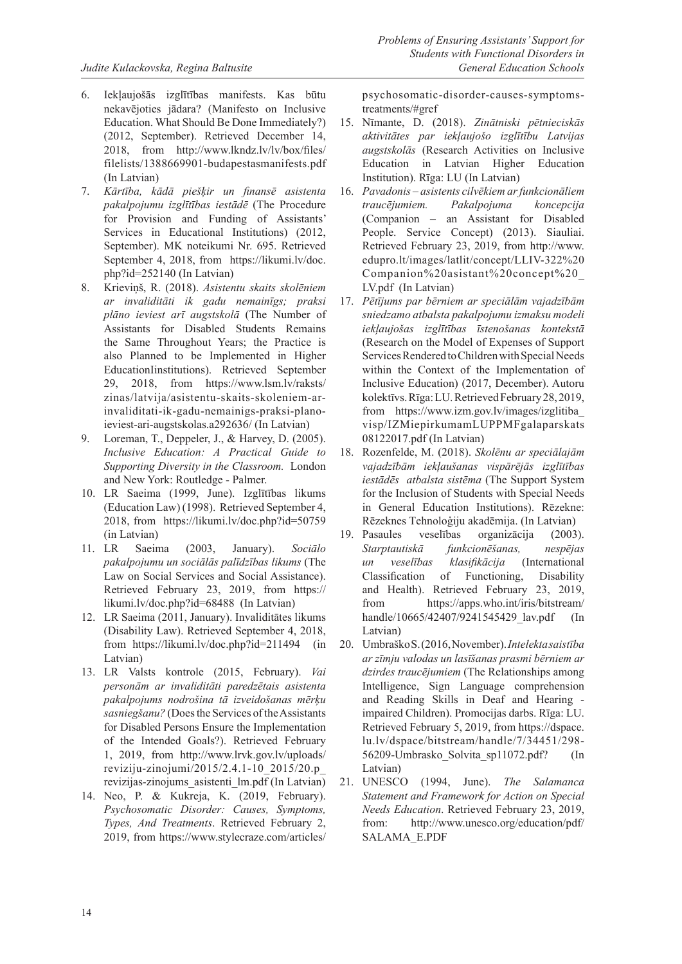- 6. Iekļaujošās izglītības manifests. Kas būtu nekavējoties jādara? (Manifesto on Inclusive Education. What Should Be Done Immediately?) (2012, September). Retrieved December 14, 2018, from http://www.lkndz.lv/lv/box/files/ filelists/1388669901-budapestasmanifests.pdf (In Latvian)
- 7. *Kārtība, kādā piešķir un finansē asistenta pakalpojumu izglītības iestādē* (The Procedure for Provision and Funding of Assistants' Services in Educational Institutions) (2012, September). MK noteikumi Nr. 695. Retrieved September 4, 2018, from https://likumi.lv/doc. php?id=252140 (In Latvian)
- 8. Krieviņš, R. (2018). *Asistentu skaits skolēniem ar invaliditāti ik gadu nemainīgs; praksi plāno ieviest arī augstskolā* (The Number of Assistants for Disabled Students Remains the Same Throughout Years; the Practice is also Planned to be Implemented in Higher EducationIinstitutions). Retrieved September 29, 2018, from https://www.lsm.lv/raksts/ zinas/latvija/asistentu-skaits-skoleniem-arinvaliditati-ik-gadu-nemainigs-praksi-planoieviest-ari-augstskolas.a292636/ (In Latvian)
- 9. Loreman, T., Deppeler, J., & Harvey, D. (2005). *Inclusive Education: A Practical Guide to Supporting Diversity in the Classroom.* London and New York: Routledge - Palmer.
- 10. LR Saeima (1999, June). Izglītības likums (Education Law) (1998). Retrieved September 4, 2018, from https://likumi.lv/doc.php?id=50759 (in Latvian)<br>11. LR Saeir
- 11. LR Saeima (2003, January). *Sociālo pakalpojumu un sociālās palīdzības likums* (The Law on Social Services and Social Assistance). Retrieved February 23, 2019, from https:// likumi.lv/doc.php?id=68488 (In Latvian)
- 12. LR Saeima (2011, January). Invaliditātes likums (Disability Law). Retrieved September 4, 2018, from https://likumi.lv/doc.php?id=211494 (in Latvian)
- 13. LR Valsts kontrole (2015, February). *Vai personām ar invaliditāti paredzētais asistenta pakalpojums nodrošina tā izveidošanas mērķu sasniegšanu?* (Does the Services of the Assistants for Disabled Persons Ensure the Implementation of the Intended Goals?). Retrieved February 1, 2019, from http://www.lrvk.gov.lv/uploads/ reviziju-zinojumi/2015/2.4.1-10\_2015/20.p\_ revizijas-zinojums\_asistenti\_lm.pdf (In Latvian)
- 14. Neo, P. & Kukreja, K. (2019, February). *Psychosomatic Disorder: Causes, Symptoms, Types, And Treatments*. Retrieved February 2, 2019, from https://www.stylecraze.com/articles/

psychosomatic-disorder-causes-symptomstreatments/#gref

- 15. Nīmante, D. (2018). *Zinātniski pētnieciskās aktivitātes par iekļaujošo izglītību Latvijas augstskolās* (Research Activities on Inclusive Education in Latvian Higher Education Institution). Rīga: LU (In Latvian)
- 16. *Pavadonis asistents cilvēkiem ar funkcionāliem traucējumiem. Pakalpojuma koncepcija* (Companion – an Assistant for Disabled People. Service Concept) (2013). Siauliai. Retrieved February 23, 2019, from http://www. edupro.lt/images/latlit/concept/LLIV-322%20 Companion%20asistant%20concept%20\_ LV.pdf (In Latvian)
- 17. *Pētījums par bērniem ar speciālām vajadzībām sniedzamo atbalsta pakalpojumu izmaksu modeli iekļaujošas izglītības īstenošanas kontekstā* (Research on the Model of Expenses of Support Services Rendered to Children with Special Needs within the Context of the Implementation of Inclusive Education) (2017, December). Autoru kolektīvs. Rīga: LU. Retrieved February 28, 2019, from https://www.izm.gov.lv/images/izglitiba\_ visp/IZMiepirkumamLUPPMFgalaparskats 08122017.pdf (In Latvian)
- 18. Rozenfelde, M. (2018). *Skolēnu ar speciālajām vajadzībām iekļaušanas vispārējās izglītības iestādēs atbalsta sistēma* (The Support System for the Inclusion of Students with Special Needs in General Education Institutions). Rēzekne: Rēzeknes Tehnoloģiju akadēmija. (In Latvian)
- 19. Pasaules veselības organizācija (2003). *Starptautiskā funkcionēšanas, nespējas un veselības klasifikācija* (International Classification of Functioning, Disability and Health). Retrieved February 23, 2019, from https://apps.who.int/iris/bitstream/ handle/10665/42407/9241545429\_lav.pdf (In Latvian)
- 20. Umbraško S. (2016, November). *Intelekta saistība ar zīmju valodas un lasīšanas prasmi bērniem ar dzirdes traucējumiem* (The Relationships among Intelligence, Sign Language comprehension and Reading Skills in Deaf and Hearing impaired Children). Promocijas darbs. Rīga: LU. Retrieved February 5, 2019, from https://dspace. lu.lv/dspace/bitstream/handle/7/34451/298- 56209-Umbrasko\_Solvita\_sp11072.pdf? (In Latvian)
- 21. UNESCO (1994, June). *The Salamanca Statement and Framework for Action on Special Needs Education*. Retrieved February 23, 2019, from: http://www.unesco.org/education/pdf/ SALAMA\_E.PDF